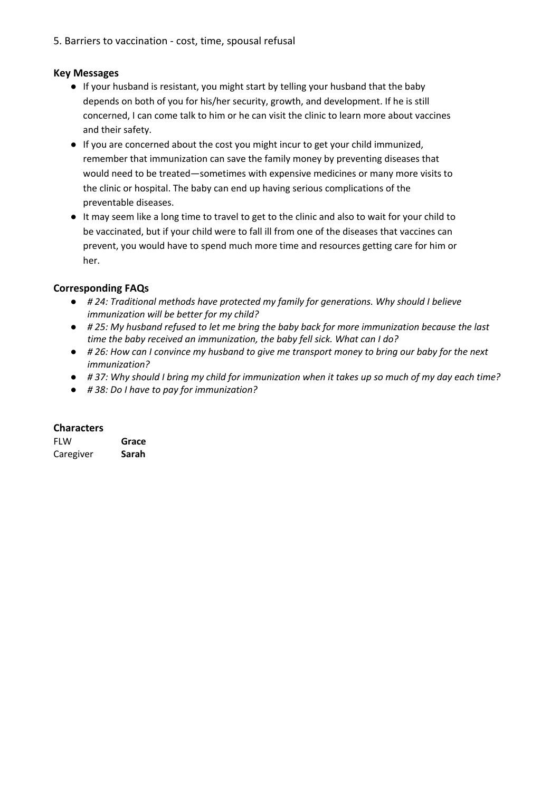5. Barriers to vaccination - cost, time, spousal refusal

# **Key Messages**

- If your husband is resistant, you might start by telling your husband that the baby depends on both of you for his/her security, growth, and development. If he is still concerned, I can come talk to him or he can visit the clinic to learn more about vaccines and their safety.
- If you are concerned about the cost you might incur to get your child immunized, remember that immunization can save the family money by preventing diseases that would need to be treated—sometimes with expensive medicines or many more visits to the clinic or hospital. The baby can end up having serious complications of the preventable diseases.
- It may seem like a long time to travel to get to the clinic and also to wait for your child to be vaccinated, but if your child were to fall ill from one of the diseases that vaccines can prevent, you would have to spend much more time and resources getting care for him or her.

# **Corresponding FAQs**

- *# 24: Traditional methods have protected my family for generations. Why should I believe immunization will be better for my child?*
- *# 25: My husband refused to let me bring the baby back for more immunization because the last time the baby received an immunization, the baby fell sick. What can I do?*
- *# 26: How can I convince my husband to give me transport money to bring our baby for the next immunization?*
- *# 37: Why should I bring my child for immunization when it takes up so much of my day each time?*
- *# 38: Do I have to pay for immunization?*

### **Characters**

| <b>FLW</b> | Grace |
|------------|-------|
| Caregiver  | Sarah |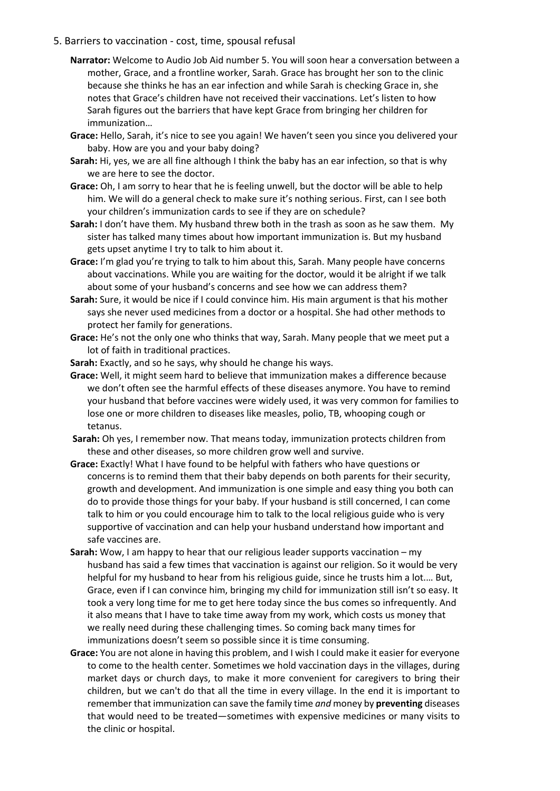### 5. Barriers to vaccination - cost, time, spousal refusal

- **Narrator:** Welcome to Audio Job Aid number 5. You will soon hear a conversation between a mother, Grace, and a frontline worker, Sarah. Grace has brought her son to the clinic because she thinks he has an ear infection and while Sarah is checking Grace in, she notes that Grace's children have not received their vaccinations. Let's listen to how Sarah figures out the barriers that have kept Grace from bringing her children for immunization…
- **Grace:** Hello, Sarah, it's nice to see you again! We haven't seen you since you delivered your baby. How are you and your baby doing?
- **Sarah:** Hi, yes, we are all fine although I think the baby has an ear infection, so that is why we are here to see the doctor.
- **Grace:** Oh, I am sorry to hear that he is feeling unwell, but the doctor will be able to help him. We will do a general check to make sure it's nothing serious. First, can I see both your children's immunization cards to see if they are on schedule?
- **Sarah:** I don't have them. My husband threw both in the trash as soon as he saw them. My sister has talked many times about how important immunization is. But my husband gets upset anytime I try to talk to him about it.
- **Grace:** I'm glad you're trying to talk to him about this, Sarah. Many people have concerns about vaccinations. While you are waiting for the doctor, would it be alright if we talk about some of your husband's concerns and see how we can address them?
- **Sarah:** Sure, it would be nice if I could convince him. His main argument is that his mother says she never used medicines from a doctor or a hospital. She had other methods to protect her family for generations.
- **Grace:** He's not the only one who thinks that way, Sarah. Many people that we meet put a lot of faith in traditional practices.
- **Sarah:** Exactly, and so he says, why should he change his ways.
- **Grace:** Well, it might seem hard to believe that immunization makes a difference because we don't often see the harmful effects of these diseases anymore. You have to remind your husband that before vaccines were widely used, it was very common for families to lose one or more children to diseases like measles, polio, TB, whooping cough or tetanus.
- **Sarah:** Oh yes, I remember now. That means today, immunization protects children from these and other diseases, so more children grow well and survive.
- **Grace:** Exactly! What I have found to be helpful with fathers who have questions or concerns is to remind them that their baby depends on both parents for their security, growth and development. And immunization is one simple and easy thing you both can do to provide those things for your baby. If your husband is still concerned, I can come talk to him or you could encourage him to talk to the local religious guide who is very supportive of vaccination and can help your husband understand how important and safe vaccines are.
- **Sarah:** Wow, I am happy to hear that our religious leader supports vaccination my husband has said a few times that vaccination is against our religion. So it would be very helpful for my husband to hear from his religious guide, since he trusts him a lot.… But, Grace, even if I can convince him, bringing my child for immunization still isn't so easy. It took a very long time for me to get here today since the bus comes so infrequently. And it also means that I have to take time away from my work, which costs us money that we really need during these challenging times. So coming back many times for immunizations doesn't seem so possible since it is time consuming.
- **Grace:** You are not alone in having this problem, and I wish I could make it easier for everyone to come to the health center. Sometimes we hold vaccination days in the villages, during market days or church days, to make it more convenient for caregivers to bring their children, but we can't do that all the time in every village. In the end it is important to remember that immunization can save the family time *and* money by **preventing** diseases that would need to be treated—sometimes with expensive medicines or many visits to the clinic or hospital.